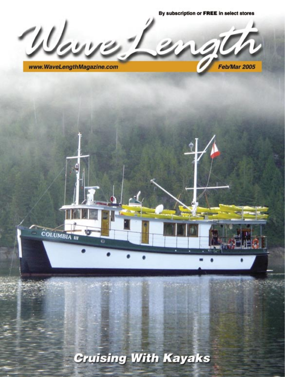By subscription or FREE in select stores وراراتهم  $\mathcal{D}_\mathbf{a}$ www.WaveLengthMagazine.com Feb/Mar 2005

**Cruising With Kayaks** Feb/Mar 05 **[www.WaveLengthMagazine.com](http://www.mothershipadventures.com)** 1

COLUMBIA III